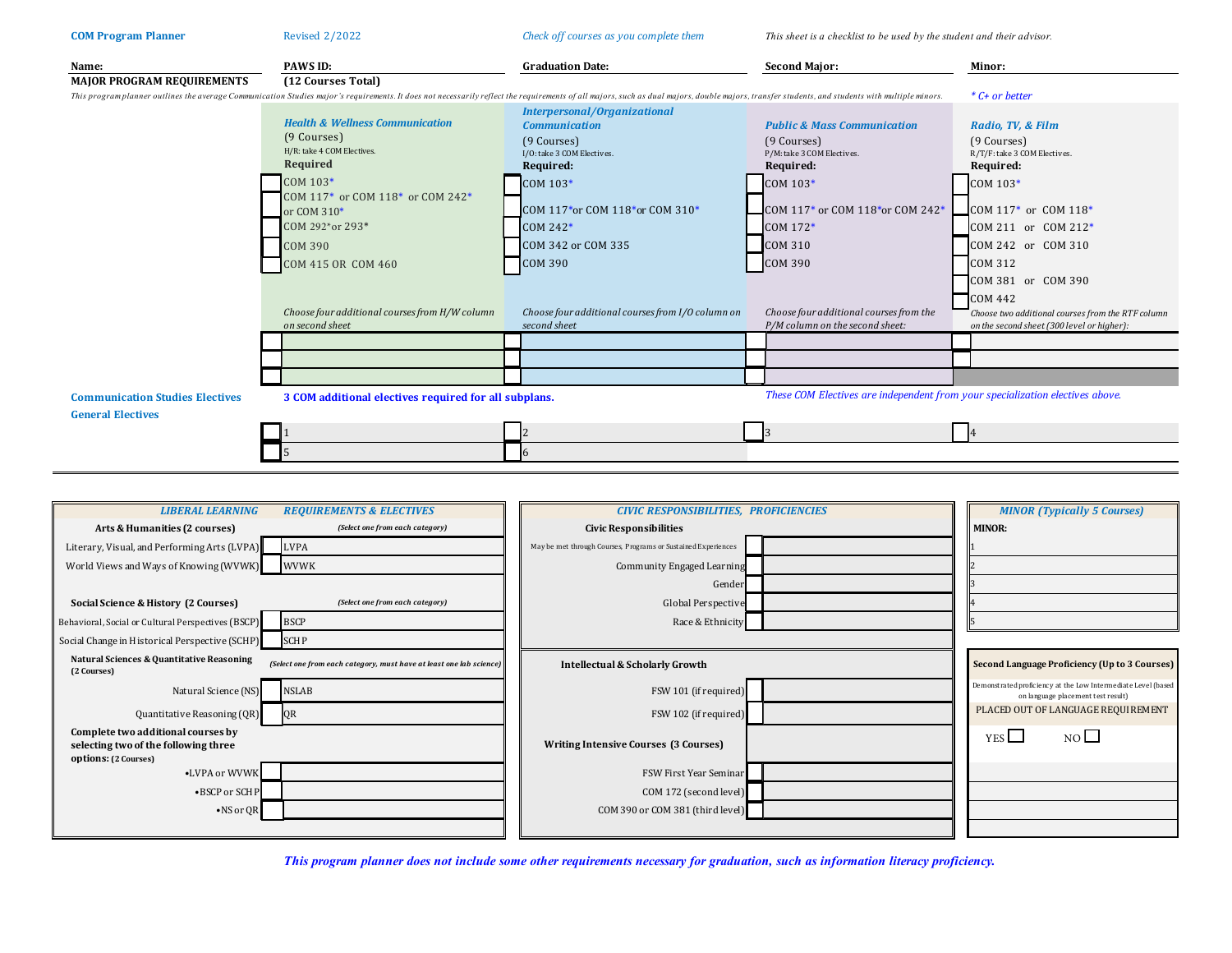| <b>COM Program Planner</b>                                         | <b>Revised 2/2022</b>                                                                                                                                                                                                         | Check off courses as you complete them<br>This sheet is a checklist to be used by the student and their advisor.      |                                                                                                  |                                                                                                                   |  |  |
|--------------------------------------------------------------------|-------------------------------------------------------------------------------------------------------------------------------------------------------------------------------------------------------------------------------|-----------------------------------------------------------------------------------------------------------------------|--------------------------------------------------------------------------------------------------|-------------------------------------------------------------------------------------------------------------------|--|--|
| Name:                                                              | PAWS ID:                                                                                                                                                                                                                      | <b>Graduation Date:</b>                                                                                               | <b>Second Major:</b>                                                                             | Minor:                                                                                                            |  |  |
| <b>MAJOR PROGRAM REQUIREMENTS</b>                                  | (12 Courses Total)                                                                                                                                                                                                            |                                                                                                                       |                                                                                                  |                                                                                                                   |  |  |
|                                                                    | This programplanner outlines the average Communication Studies major's requirements. It does not necessarily reflect the requirements of all majors, such as dual majors, double majors, transfer students, and students with | * C+ or better                                                                                                        |                                                                                                  |                                                                                                                   |  |  |
|                                                                    | <b>Health &amp; Wellness Communication</b><br>(9 Courses)<br>H/R: take 4 COM Electives.<br>Required                                                                                                                           | <b>Interpersonal/Organizational</b><br><b>Communication</b><br>(9 Courses)<br>I/O: take 3 COM Electives.<br>Required: | <b>Public &amp; Mass Communication</b><br>(9 Courses)<br>P/M: take 3 COM Electives.<br>Required: | Radio, TV, & Film<br>(9 Courses)<br>R/T/F: take 3 COM Electives.<br>Required:                                     |  |  |
|                                                                    | COM 103*<br>COM 117* or COM 118* or COM 242*                                                                                                                                                                                  | COM 103*<br>COM 117*or COM 118*or COM 310*                                                                            | COM 103*<br>$ICOM 117*$ or COM 118*or COM 242*                                                   | COM 103*<br>COM $117*$ or COM $118*$                                                                              |  |  |
|                                                                    | or COM 310*<br>COM 292*or 293*<br><b>COM 390</b>                                                                                                                                                                              | $COM 242*$<br>COM 342 or COM 335                                                                                      | COM 172*<br><b>COM 310</b>                                                                       | COM 211 or COM 212*<br>COM 242 or COM 310                                                                         |  |  |
|                                                                    | COM 415 OR COM 460                                                                                                                                                                                                            | <b>COM 390</b>                                                                                                        | <b>COM 390</b>                                                                                   | <b>COM 312</b><br>COM 381 or COM 390                                                                              |  |  |
|                                                                    | Choose four additional courses from H/W column<br>on second sheet                                                                                                                                                             | Choose four additional courses from I/O column on<br>second sheet                                                     | Choose four additional courses from the<br>P/M column on the second sheet:                       | <b>COM 442</b><br>Choose two additional courses from the RTF column<br>on the second sheet (300 level or higher): |  |  |
|                                                                    |                                                                                                                                                                                                                               |                                                                                                                       |                                                                                                  |                                                                                                                   |  |  |
|                                                                    |                                                                                                                                                                                                                               |                                                                                                                       |                                                                                                  |                                                                                                                   |  |  |
|                                                                    |                                                                                                                                                                                                                               |                                                                                                                       |                                                                                                  |                                                                                                                   |  |  |
| <b>Communication Studies Electives</b><br><b>General Electives</b> | These COM Electives are independent from your specialization electives above.<br>3 COM additional electives required for all subplans.                                                                                        |                                                                                                                       |                                                                                                  |                                                                                                                   |  |  |
|                                                                    |                                                                                                                                                                                                                               |                                                                                                                       |                                                                                                  |                                                                                                                   |  |  |
|                                                                    |                                                                                                                                                                                                                               |                                                                                                                       |                                                                                                  |                                                                                                                   |  |  |

| <b>LIBERAL LEARNING</b>                                                                            | <b>REQUIREMENTS &amp; ELECTIVES</b>                                 | <b>CIVIC RESPONSIBILITIES, PROFICIENCIES</b>                  | <b>MINOR (Typically 5 Courses)</b>                                                                  |
|----------------------------------------------------------------------------------------------------|---------------------------------------------------------------------|---------------------------------------------------------------|-----------------------------------------------------------------------------------------------------|
| Arts & Humanities (2 courses)                                                                      | (Select one from each category)                                     | <b>Civic Responsibilities</b>                                 | <b>MINOR:</b>                                                                                       |
| Literary, Visual, and Performing Arts (LVPA)                                                       | <b>LVPA</b>                                                         | May be met through Courses, Programs or Sustained Experiences |                                                                                                     |
| World Views and Ways of Knowing (WVWK)                                                             | <b>WVWK</b>                                                         | Community Engaged Learning                                    |                                                                                                     |
|                                                                                                    |                                                                     | Gender                                                        |                                                                                                     |
| Social Science & History (2 Courses)                                                               | (Select one from each category)                                     | Global Perspective                                            |                                                                                                     |
| Behavioral, Social or Cultural Perspectives (BSCP)                                                 | <b>BSCP</b>                                                         | Race & Ethnicity                                              |                                                                                                     |
| Social Change in Historical Perspective (SCHP)                                                     | <b>SCHP</b>                                                         |                                                               |                                                                                                     |
| Natural Sciences & Quantitative Reasoning<br>(2 Courses)                                           | (Select one from each category, must have at least one lab science) | Intellectual & Scholarly Growth                               | <b>Second Language Proficiency (Up to 3 Courses)</b>                                                |
| Natural Science (NS)                                                                               | <b>NSLAB</b>                                                        | FSW 101 (if required)                                         | Demonstrated proficiency at the Low Intermediate Level (based<br>on language placement test result) |
| Quantitative Reasoning (QR)                                                                        | QR                                                                  | FSW 102 (if required)                                         | PLACED OUT OF LANGUAGE REQUIREMENT                                                                  |
| Complete two additional courses by<br>selecting two of the following three<br>options: (2 Courses) |                                                                     | <b>Writing Intensive Courses (3 Courses)</b>                  | NO<br>YES                                                                                           |
| •LVPA or WVWK                                                                                      |                                                                     | FSW First Year Seminar                                        |                                                                                                     |
| •BSCP or SCHP                                                                                      |                                                                     | COM 172 (second level)                                        |                                                                                                     |
| $\bullet$ NS or QR                                                                                 |                                                                     | COM 390 or COM 381 (third level)                              |                                                                                                     |
|                                                                                                    |                                                                     |                                                               |                                                                                                     |

*This program planner does not include some other requirements necessary for graduation, such as information literacy proficiency.*